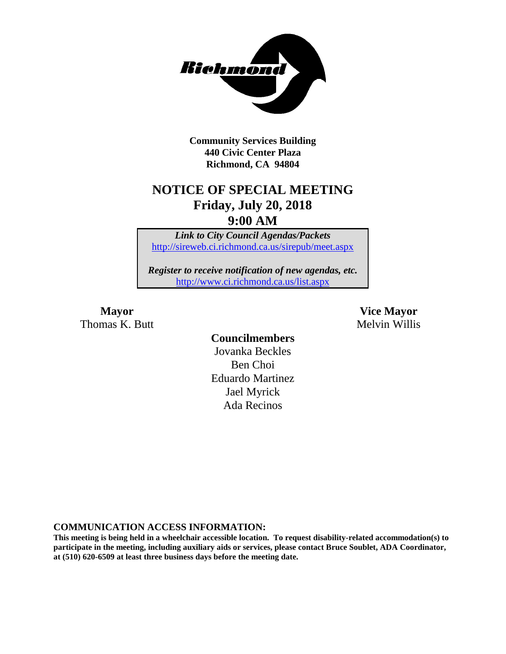

**Community Services Building 440 Civic Center Plaza Richmond, CA 94804**

# **NOTICE OF SPECIAL MEETING Friday, July 20, 2018**

**9:00 AM**

*Link to City Council Agendas/Packets* <http://sireweb.ci.richmond.ca.us/sirepub/meet.aspx>

*Register to receive notification of new agendas, etc.* <http://www.ci.richmond.ca.us/list.aspx>

Thomas K. Butt Melvin Willis

**Mayor Vice Mayor**

**Councilmembers** Jovanka Beckles Ben Choi Eduardo Martinez Jael Myrick Ada Recinos

**COMMUNICATION ACCESS INFORMATION:**

**This meeting is being held in a wheelchair accessible location. To request disability-related accommodation(s) to participate in the meeting, including auxiliary aids or services, please contact Bruce Soublet, ADA Coordinator, at (510) 620-6509 at least three business days before the meeting date.**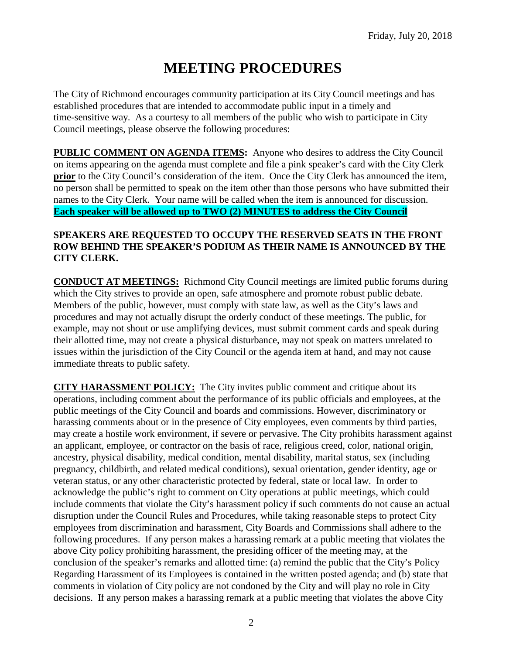## **MEETING PROCEDURES**

The City of Richmond encourages community participation at its City Council meetings and has established procedures that are intended to accommodate public input in a timely and time-sensitive way. As a courtesy to all members of the public who wish to participate in City Council meetings, please observe the following procedures:

**PUBLIC COMMENT ON AGENDA ITEMS:** Anyone who desires to address the City Council on items appearing on the agenda must complete and file a pink speaker's card with the City Clerk **prior** to the City Council's consideration of the item. Once the City Clerk has announced the item, no person shall be permitted to speak on the item other than those persons who have submitted their names to the City Clerk. Your name will be called when the item is announced for discussion. **Each speaker will be allowed up to TWO (2) MINUTES to address the City Council** 

#### **SPEAKERS ARE REQUESTED TO OCCUPY THE RESERVED SEATS IN THE FRONT ROW BEHIND THE SPEAKER'S PODIUM AS THEIR NAME IS ANNOUNCED BY THE CITY CLERK.**

**CONDUCT AT MEETINGS:** Richmond City Council meetings are limited public forums during which the City strives to provide an open, safe atmosphere and promote robust public debate. Members of the public, however, must comply with state law, as well as the City's laws and procedures and may not actually disrupt the orderly conduct of these meetings. The public, for example, may not shout or use amplifying devices, must submit comment cards and speak during their allotted time, may not create a physical disturbance, may not speak on matters unrelated to issues within the jurisdiction of the City Council or the agenda item at hand, and may not cause immediate threats to public safety.

**CITY HARASSMENT POLICY:** The City invites public comment and critique about its operations, including comment about the performance of its public officials and employees, at the public meetings of the City Council and boards and commissions. However, discriminatory or harassing comments about or in the presence of City employees, even comments by third parties, may create a hostile work environment, if severe or pervasive. The City prohibits harassment against an applicant, employee, or contractor on the basis of race, religious creed, color, national origin, ancestry, physical disability, medical condition, mental disability, marital status, sex (including pregnancy, childbirth, and related medical conditions), sexual orientation, gender identity, age or veteran status, or any other characteristic protected by federal, state or local law. In order to acknowledge the public's right to comment on City operations at public meetings, which could include comments that violate the City's harassment policy if such comments do not cause an actual disruption under the Council Rules and Procedures, while taking reasonable steps to protect City employees from discrimination and harassment, City Boards and Commissions shall adhere to the following procedures. If any person makes a harassing remark at a public meeting that violates the above City policy prohibiting harassment, the presiding officer of the meeting may, at the conclusion of the speaker's remarks and allotted time: (a) remind the public that the City's Policy Regarding Harassment of its Employees is contained in the written posted agenda; and (b) state that comments in violation of City policy are not condoned by the City and will play no role in City decisions. If any person makes a harassing remark at a public meeting that violates the above City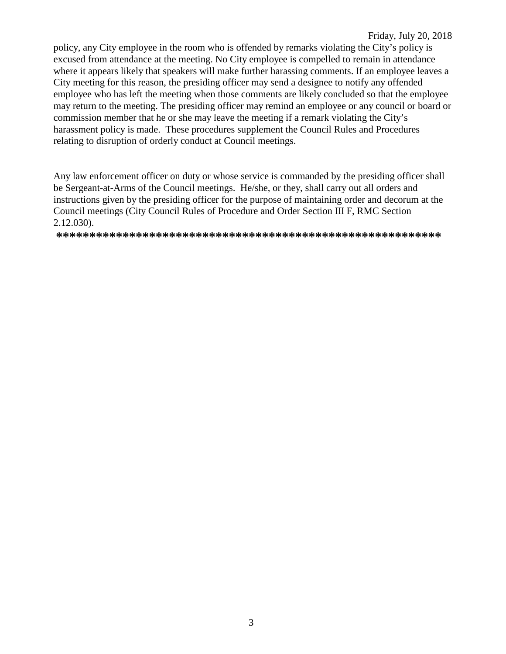policy, any City employee in the room who is offended by remarks violating the City's policy is excused from attendance at the meeting. No City employee is compelled to remain in attendance where it appears likely that speakers will make further harassing comments. If an employee leaves a City meeting for this reason, the presiding officer may send a designee to notify any offended employee who has left the meeting when those comments are likely concluded so that the employee may return to the meeting. The presiding officer may remind an employee or any council or board or commission member that he or she may leave the meeting if a remark violating the City's harassment policy is made. These procedures supplement the Council Rules and Procedures relating to disruption of orderly conduct at Council meetings.

Any law enforcement officer on duty or whose service is commanded by the presiding officer shall be Sergeant-at-Arms of the Council meetings. He/she, or they, shall carry out all orders and instructions given by the presiding officer for the purpose of maintaining order and decorum at the Council meetings (City Council Rules of Procedure and Order Section III F, RMC Section  $2.12.030$ ).